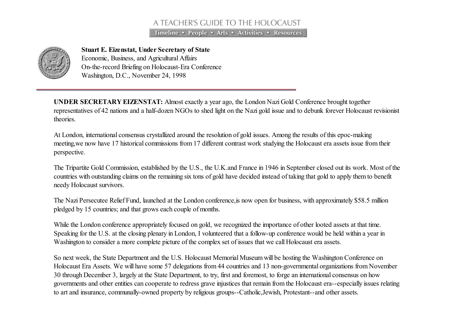## A TEACHER'S GUIDE TO THE HOLOCAUST

Timeline • People • Arts • Activities • Resources



Stuart E. Eizenstat, Under Secretary of State Economic, Business, and Agricultural Affairs On-the-record Briefing on Holocaust-Era Conference Washington, D.C., November 24, 1998

UNDER SECRETARY EIZENSTAT: Almost exactly a year ago, the London Nazi Gold Conference brought together representatives of 42 nations and a half-dozen NGOs to shed light on the Nazi gold issue and to debunk forever Holocaust revisionist theories.

At London, international consensus crystallized around the resolution of gold issues. Among the results of this epoc-making meeting,we now have 17 historical commissions from 17 different contrast work studying the Holocaust era assets issue from their perspective.

The Tripartite Gold Commission, established by the U.S., the U.K.and France in 1946 in September closed out its work. Most of the countries with outstanding claims on the remaining six tons of gold have decided instead of taking that gold to apply them to benefit needy Holocaust survivors.

The Nazi Persecutee Relief Fund, launched at the London conference,is now open for business, with approximately \$58.5 million pledged by 15 countries; and that grows each couple of months.

While the London conference appropriately focused on gold, we recognized the importance of other looted assets at that time. Speaking for the U.S. at the closing plenary in London, I volunteered that a follow-up conference would be held within a year in Washington to consider a more complete picture of the complex set of issues that we call Holocaust era assets.

So next week, the State Department and the U.S. Holocaust Memorial Museum will be hosting the Washington Conference on Holocaust Era Assets. We will have some 57 delegations from 44 countries and 13 non-governmental organizations from November 30 through December 3, largely at the State Department, to try, first and foremost, to forge an international consensus on how governments and other entities can cooperate to redress grave injustices that remain from the Holocaust era--especially issues relating to art and insurance, communally-owned property by religious groups--Catholic,Jewish, Protestant--and other assets.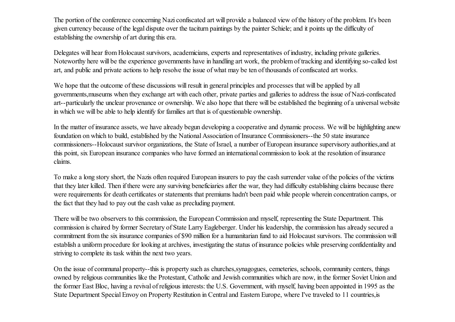The portion of the conference concerning Nazi confiscated art will provide a balanced view of the history of the problem. It's been given currency because of the legal dispute over the taciturn paintings by the painter Schiele; and it points up the difficulty of establishing the ownership of art during this era.

Delegates will hear from Holocaust survivors, academicians, experts and representatives of industry, including private galleries. Noteworthy here will be the experience governments have in handling art work, the problem of tracking and identifying so-called lost art, and public and private actions to help resolve the issue of what may be ten of thousands of confiscated art works.

We hope that the outcome of these discussions will result in general principles and processes that will be applied by all governments,museums when they exchange art with each other, private parties and galleries to address the issue of Nazi-confiscated art--particularly the unclear provenance or ownership. We also hope that there will be established the beginning of a universal website in which we will be able to help identify for families art that is of questionable ownership.

In the matter of insurance assets, we have already begun developing a cooperative and dynamic process. We will be highlighting anew foundation on which to build, established by the National Association of Insurance Commissioners--the 50 state insurance commissioners--Holocaust survivor organizations, the State of Israel, a number of European insurance supervisory authorities,and at this point, six European insurance companies who have formed an international commission to look at the resolution of insurance claims.

To make a long story short, the Nazis often required European insurers to pay the cash surrender value of the policies of the victims that they later killed. Then if there were any surviving beneficiaries after the war, they had difficulty establishing claims because there were requirements for death certificates or statements that premiums hadn't been paid while people wherein concentration camps, or the fact that they had to pay out the cash value as precluding payment.

There will be two observers to this commission, the European Commission and myself, representing the State Department. This commission is chaired by former Secretary of State Larry Eagleberger. Under his leadership, the commission has already secured a commitment from the six insurance companies of \$90 million for a humanitarian fund to aid Holocaust survivors. The commission will establish a uniform procedure for looking at archives, investigating the status of insurance policies while preserving confidentiality and striving to complete its task within the next two years.

On the issue of communal property--this is property such as churches,synagogues, cemeteries, schools, community centers, things owned by religious communities like the Protestant, Catholic and Jewish communities which are now, in the former Soviet Union and the former East Bloc, having a revival of religious interests: the U.S. Government, with myself, having been appointed in 1995 as the State Department Special Envoy on Property Restitution in Central and Eastern Europe, where I've traveled to 11 countries,is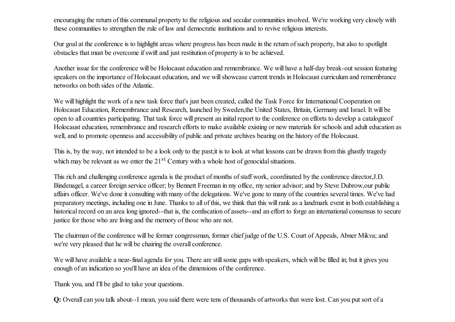encouraging the return of this communal property to the religious and secular communities involved. We're working very closely with these communities to strengthen the rule of law and democratic institutions and to revive religious interests.

Our goal at the conference is to highlight areas where progress has been made in the return of such property, but also to spotlight obstacles that must be overcome ifswift and just restitution of property is to be achieved.

Another issue for the conference will be Holocaust education and remembrance. We will have a half-day break-out session featuring speakers on the importance of Holocaust education, and we will showcase current trends in Holocaust curriculum and remembrance networks on both sides of the Atlantic.

We will highlight the work of a new task force that's just been created, called the Task Force for International Cooperation on Holocaust Education, Remembrance and Research, launched by Sweden,the United States, Britain, Germany and Israel. It will be open to all countries participating. That task force will present an initialreport to the conference on efforts to develop a catalogueof Holocaust education, remembrance and research efforts to make available existing or new materials for schools and adult education as well, and to promote openness and accessibility of public and private archives bearing on the history of the Holocaust.

This is, by the way, not intended to be a look only to the past;it is to look at what lessons can be drawn from this ghastly tragedy which may be relevant as we enter the  $21<sup>st</sup>$  Century with a whole host of genocidal situations.

This rich and challenging conference agenda is the product of months of staff work, coordinated by the conference director, J.D. Bindenagel, a career foreign service officer; by Bennett Freeman in my office, my senior advisor; and by Steve Dubrow,our public affairs officer. We've done it consulting with many of the delegations. We've gone to many of the countries several times. We've had preparatory meetings, including one in June. Thanks to all of this, we think that this willrank as a landmark event in both establishing a historical record on an area long ignored--that is, the confiscation of assets--and an effort to forge an international consensus to secure justice for those who are living and the memory of those who are not.

The chairman of the conference will be former congressman, former chief judge of the U.S. Court of Appeals, Abner Mikva; and we're very pleased that he will be chairing the overall conference.

We will have available a near-final agenda for you. There are still some gaps with speakers, which will be filled in; but it gives you enough of an indication so you'll have an idea of the dimensions of the conference.

Thank you, and I'll be glad to take your questions.

Q: Overall can you talk about--I mean, you said there were tens of thousands of artworks that were lost. Can you put sort of a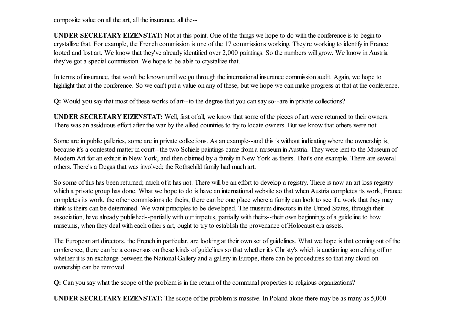composite value on all the art, all the insurance, all the--

UNDER SECRETARY EIZENSTAT: Not at this point. One of the things we hope to do with the conference is to begin to crystallize that. For example, the French commission is one of the 17 commissions working. They're working to identify in France looted and lost art. We know that they've already identified over 2,000 paintings. So the numbers will grow. We know in Austria they've got a special commission. We hope to be able to crystallize that.

In terms of insurance, that won't be known until we go through the international insurance commission audit. Again, we hope to highlight that at the conference. So we can't put a value on any of these, but we hope we can make progress at that at the conference.

Q: Would you say that most of these works of art--to the degree that you can say so--are in private collections?

UNDER SECRETARY EIZENSTAT: Well, first of all, we know that some of the pieces of art were returned to their owners. There was an assiduous effort after the war by the allied countries to try to locate owners. But we know that others were not.

Some are in public galleries, some are in private collections. As an example--and this is without indicating where the ownership is, because it's a contested matter in court--the two Schiele paintings came from a museum in Austria. They were lent to the Museum of Modern Art for an exhibit in New York, and then claimed by a family in New York as theirs. That's one example. There are several others. There's a Degas that was involved; the Rothschild family had much art.

So some of this has been returned; much of it has not. There will be an effort to develop a registry. There is now an art loss registry which a private group has done. What we hope to do is have an international website so that when Austria completes its work, France completes its work, the other commissions do theirs, there can be one place where a family can look to see if a work that they may think is theirs can be determined. We want principles to be developed. The museum directors in the United States, through their association, have already published--partially with our impetus, partially with theirs--their own beginnings of a guideline to how museums, when they deal with each other's art, ought to try to establish the provenance of Holocaust era assets.

The European art directors, the French in particular, are looking at their own set of guidelines. What we hope is that coming out of the conference, there can be a consensus on these kinds of guidelines so that whether it's Christy's which is auctioning something off or whether it is an exchange between the National Gallery and a gallery in Europe, there can be procedures so that any cloud on ownership can be removed.

Q: Can you say what the scope of the problem is in the return of the communal properties to religious organizations?

UNDER SECRETARY EIZENSTAT: The scope of the problem is massive. In Poland alone there may be as many as 5,000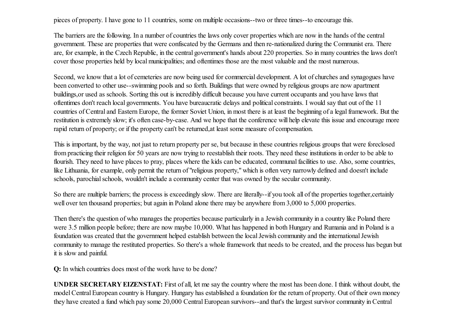pieces of property. I have gone to 11 countries, some on multiple occasions--two or three times--to encourage this.

The barriers are the following. In a number of countries the laws only cover properties which are now in the hands of the central government. These are properties that were confiscated by the Germans and then re-nationalized during the Communist era. There are, for example, in the Czech Republic, in the central government's hands about 220 properties. So in many countries the laws don't cover those properties held by local municipalities; and oftentimes those are the most valuable and the most numerous.

Second, we know that a lot of cemeteries are now being used for commercial development. A lot of churches and synagogues have been converted to other use--swimming pools and so forth. Buildings that were owned by religious groups are now apartment buildings,or used as schools. Sorting this out is incredibly difficult because you have current occupants and you have laws that oftentimes don't reach local governments. You have bureaucratic delays and political constraints. I would say that out of the 11 countries of Central and Eastern Europe, the former Soviet Union, in most there is at least the beginning of a legalframework. But the restitution is extremely slow; it's often case-by-case. And we hope that the conference will help elevate this issue and encourage more rapid return of property; or if the property can't be returned,at least some measure of compensation.

This is important, by the way, not just to return property per se, but because in these countries religious groups that were foreclosed from practicing their religion for 50 years are now trying to reestablish their roots. They need these institutions in order to be able to flourish. They need to have places to pray, places where the kids can be educated, communal facilities to use. Also, some countries, like Lithuania, for example, only permit the return of "religious property," which is often very narrowly defined and doesn't include schools, parochial schools, wouldn't include a community center that was owned by the secular community.

So there are multiple barriers; the process is exceedingly slow. There are literally--if you took all of the properties together,certainly well over ten thousand properties; but again in Poland alone there may be anywhere from 3,000 to 5,000 properties.

Then there's the question of who manages the properties because particularly in a Jewish community in a country like Poland there were 3.5 million people before; there are now maybe 10,000. What has happened in both Hungary and Rumania and in Poland is a foundation was created that the government helped establish between the local Jewish community and the international Jewish community to manage the restituted properties. So there's a whole framework that needs to be created, and the process has begun but it is slow and painful.

Q: In which countries does most of the work have to be done?

UNDER SECRETARY EIZENSTAT: First of all, let me say the country where the most has been done. I think without doubt, the model Central European country is Hungary. Hungary has established a foundation for the return of property. Out of their own money they have created a fund which pay some 20,000 Central European survivors--and that's the largest survivor community in Central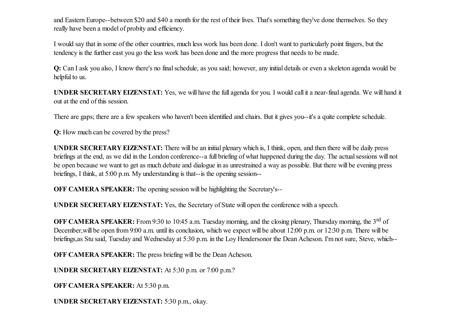and Eastern Europe--between \$20 and \$40 a month for the rest of their lives. That's something they've done themselves. So they really have been a model of probity and efficiency.

I would say that in some of the other countries, much less work has been done. I don't want to particularly point fingers, but the tendency is the further east you go the less work has been done and the more progress that needs to be made.

Q: Can I ask you also, I know there's no final schedule, as you said; however, any initial details or even a skeleton agenda would be helpful to us.

UNDER SECRETARY EIZENSTAT: Yes, we will have the full agenda for you. I would call it a near-final agenda. We will hand it out at the end of this session.

There are gaps; there are a few speakers who haven't been identified and chairs. But it gives you--it's a quite complete schedule.

Q: How much can be covered by the press?

UNDER SECRETARY EIZENSTAT: There will be an initial plenary which is, I think, open, and then there will be daily press briefings at the end, as we did in the London conference--a full briefing of what happened during the day. The actual sessions will not be open because we want to get as much debate and dialogue in as unrestrained a way as possible. But there will be evening press briefings, I think, at 5:00 p.m. My understanding is that--is the opening session--

OFF CAMERA SPEAKER: The opening session will be highlighting the Secretary's--

UNDER SECRETARY EIZENSTAT: Yes, the Secretary of State will open the conference with a speech.

OFF CAMERA SPEAKER: From 9:30 to 10:45 a.m. Tuesday morning, and the closing plenary, Thursday morning, the 3<sup>rd</sup> of December, will be open from 9:00 a.m. until its conclusion, which we expect will be about 12:00 p.m. or 12:30 p.m. There will be briefings,as Stu said, Tuesday and Wednesday at 5:30 p.m. in the Loy Hendersonor the Dean Acheson. I'm not sure, Steve, which--

OFF CAMERA SPEAKER: The press briefing will be the Dean Acheson.

UNDER SECRETARY EIZENSTAT: At 5:30 p.m. or 7:00 p.m.?

OFF CAMERA SPEAKER: At 5:30 p.m.

UNDER SECRETARY EIZENSTAT: 5:30 p.m., okay.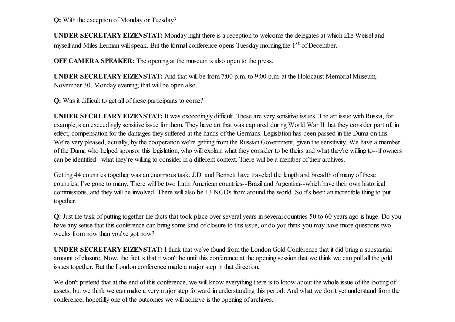Q: With the exception of Monday or Tuesday?

UNDER SECRETARY EIZENSTAT: Monday night there is a reception to welcome the delegates at which Elie Weisel and myself and Miles Lerman will speak. But the formal conference opens Tuesday morning, the 1<sup>st</sup> of December.

OFF CAMERA SPEAKER: The opening at the museum is also open to the press.

UNDER SECRETARY EIZENSTAT: And that will be from 7:00 p.m. to 9:00 p.m. at the Holocaust Memorial Museum, November 30, Monday evening; that will be open also.

Q: Was it difficult to get all of these participants to come?

UNDER SECRETARY EIZENSTAT: It was exceedingly difficult. These are very sensitive issues. The art issue with Russia, for example,is an exceedingly sensitive issue for them. They have art that was captured during World War II that they consider part of, in effect, compensation for the damages they suffered at the hands of the Germans. Legislation has been passed in the Duma on this. We're very pleased, actually, by the cooperation we're getting from the Russian Government, given the sensitivity. We have a member of the Duma who helped sponsor this legislation, who will explain what they consider to be theirs and what they're willing to--if owners can be identified--what they're willing to consider in a different context. There will be a member of their archives.

Getting 44 countries together was an enormous task. J.D. and Bennett have traveled the length and breadth of many of these countries; I've gone to many. There will be two Latin American countries--Brazil and Argentina--which have their own historical commissions, and they will be involved. There will also be 13 NGOs from around the world. So it's been an incredible thing to put together.

Q: Just the task of putting together the facts that took place over several years in several countries 50 to 60 years ago is huge. Do you have any sense that this conference can bring some kind of closure to this issue, or do you think you may have more questions two weeks from now than you've got now?

UNDER SECRETARY EIZENSTAT: I think that we've found from the London Gold Conference that it did bring a substantial amount of closure. Now, the fact is that it won't be until this conference at the opening session that we think we can pull all the gold issues together. But the London conference made a major step in that direction.

We don't pretend that at the end of this conference, we will know everything there is to know about the whole issue of the looting of assets, but we think we can make a very major step forward in understanding this period. And what we don't yet understand from the conference, hopefully one of the outcomes we will achieve is the opening of archives.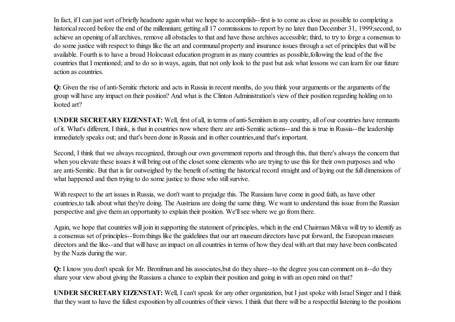In fact, if I can just sort of briefly headnote again what we hope to accomplish--first is to come as close as possible to completing a historical record before the end of the millennium; getting all 17 commissions to report by no later than December 31, 1999;second, to achieve an opening of all archives, remove all obstacles to that and have those archives accessible; third, to try to forge a consensus to do some justice with respect to things like the art and communal property and insurance issues through a set of principles that will be available. Fourth is to have a broad Holocaust education program in as many countries as possible,following the lead of the five countries that I mentioned; and to do so in ways, again, that not only look to the past but ask what lessons we can learn for our future action as countries.

Q: Given the rise of anti-Semitic rhetoric and acts in Russia in recent months, do you think your arguments or the arguments of the group will have any impact on their position? And what is the Clinton Administration's view of their position regarding holding on to looted art?

UNDER SECRETARY EIZENSTAT: Well, first of all, in terms of anti-Semitism in any country, all of our countries have remnants of it. What's different, I think, is that in countries now where there are anti-Semitic actions--and this is true in Russia--the leadership immediately speaks out; and that's been done in Russia and in other countries,and that's important.

Second, I think that we always recognized, through our own government reports and through this, that there's always the concern that when you elevate these issues it will bring out of the closet some elements who are trying to use this for their own purposes and who are anti-Semitic. But that is far outweighed by the benefit of setting the historical record straight and of laying out the full dimensions of what happened and then trying to do some justice to those who still survive.

With respect to the art issues in Russia, we don't want to prejudge this. The Russians have come in good faith, as have other countries,to talk about what they're doing. The Austrians are doing the same thing. We want to understand this issue from the Russian perspective and give them an opportunity to explain their position. We'll see where we go from there.

Again, we hope that countries will join in supporting the statement of principles, which in the end Chairman Mikva will try to identify as a consensus set of principles--from things like the guidelines that our art museum directors have put forward, the European museum directors and the like--and that will have an impact on all countries in terms of how they deal with art that may have been confiscated by the Nazis during the war.

Q: I know you don't speak for Mr. Bronfman and his associates,but do they share--to the degree you can comment on it--do they share your view about giving the Russians a chance to explain their position and going in with an open mind on that?

UNDER SECRETARY EIZENSTAT: Well, I can't speak for any other organization, but I just spoke with Israel Singer and I think that they want to have the fullest exposition by all countries of their views. I think that there will be a respectful listening to the positions